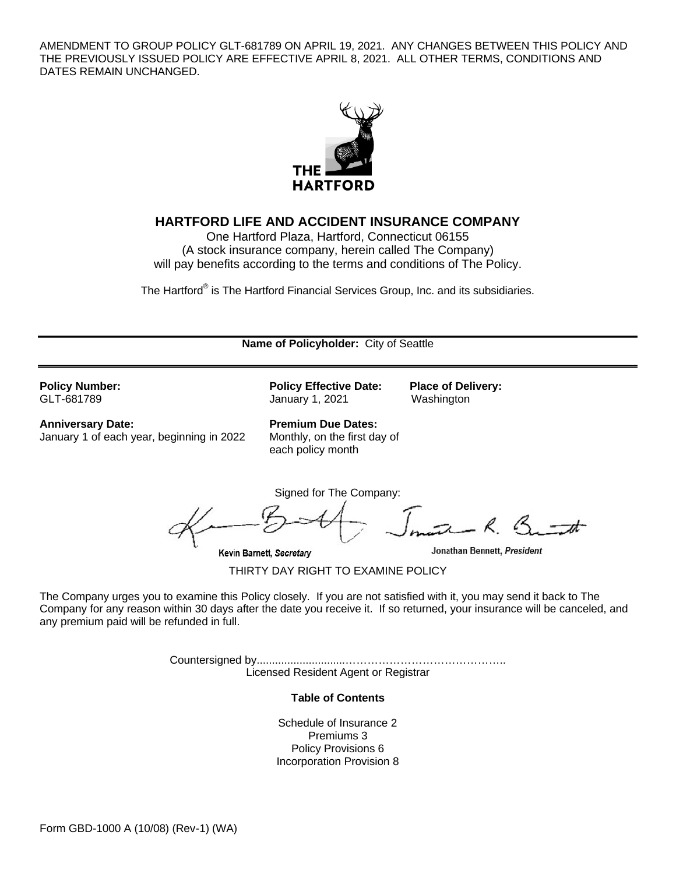AMENDMENT TO GROUP POLICY GLT-681789 ON APRIL 19, 2021. ANY CHANGES BETWEEN THIS POLICY AND THE PREVIOUSLY ISSUED POLICY ARE EFFECTIVE APRIL 8, 2021. ALL OTHER TERMS, CONDITIONS AND DATES REMAIN UNCHANGED.



## **HARTFORD LIFE AND ACCIDENT INSURANCE COMPANY**

One Hartford Plaza, Hartford, Connecticut 06155 (A stock insurance company, herein called The Company) will pay benefits according to the terms and conditions of The Policy.

The Hartford® is The Hartford Financial Services Group, Inc. and its subsidiaries.

| Name of Policyholder: City of Seattle                                 |                                                                                |                                                                                                                     |  |
|-----------------------------------------------------------------------|--------------------------------------------------------------------------------|---------------------------------------------------------------------------------------------------------------------|--|
| <b>Policy Number:</b><br>GLT-681789                                   | <b>Policy Effective Date:</b><br>January 1, 2021                               | <b>Place of Delivery:</b><br>Washington                                                                             |  |
| <b>Anniversary Date:</b><br>January 1 of each year, beginning in 2022 | <b>Premium Due Dates:</b><br>Monthly, on the first day of<br>each policy month |                                                                                                                     |  |
|                                                                       | Signed for The Company:<br>Kevin Barnett, Secretary                            | Jonathan Bennett, President                                                                                         |  |
|                                                                       | THIRTY DAY RIGHT TO EXAMINE POLICY                                             |                                                                                                                     |  |
|                                                                       |                                                                                | The Company urges you to examine this Policy closely. If you are not satisfied with it, you may send it back to The |  |

The Company urges you to examine this Policy closely. If you are not satisfied with it, you may send it back to The Company for any reason within 30 days after the date you receive it. If so returned, your insurance will be canceled, and any premium paid will be refunded in full.

> Countersigned by.............................…………………………………….. Licensed Resident Agent or Registrar

> > **Table of Contents**

Schedule of Insurance 2 Premiums 3 Policy Provisions 6 Incorporation Provision 8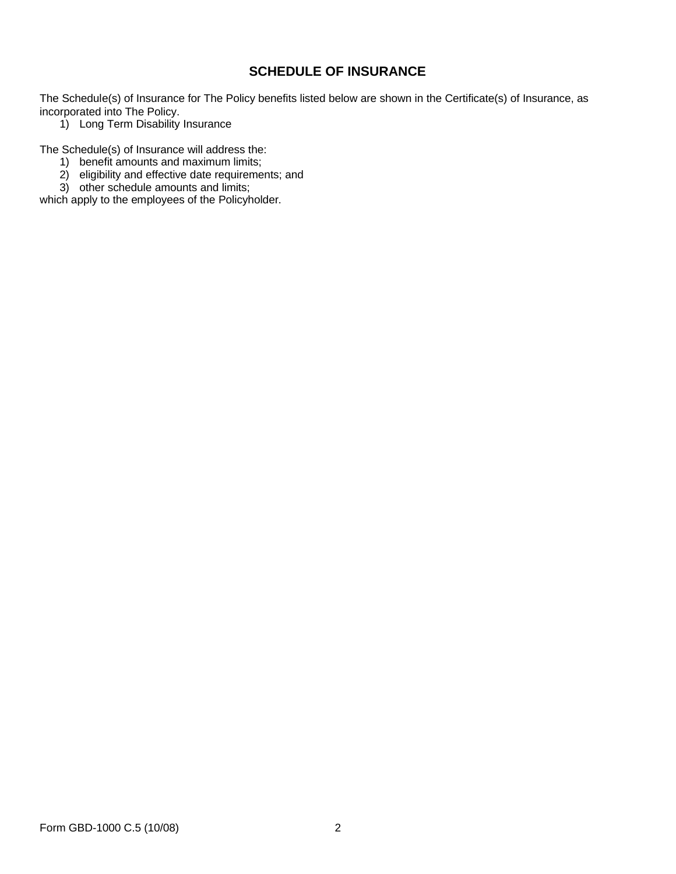# **SCHEDULE OF INSURANCE**

The Schedule(s) of Insurance for The Policy benefits listed below are shown in the Certificate(s) of Insurance, as incorporated into The Policy.

1) Long Term Disability Insurance

The Schedule(s) of Insurance will address the:

- 1) benefit amounts and maximum limits;
- 2) eligibility and effective date requirements; and
- 3) other schedule amounts and limits;

which apply to the employees of the Policyholder.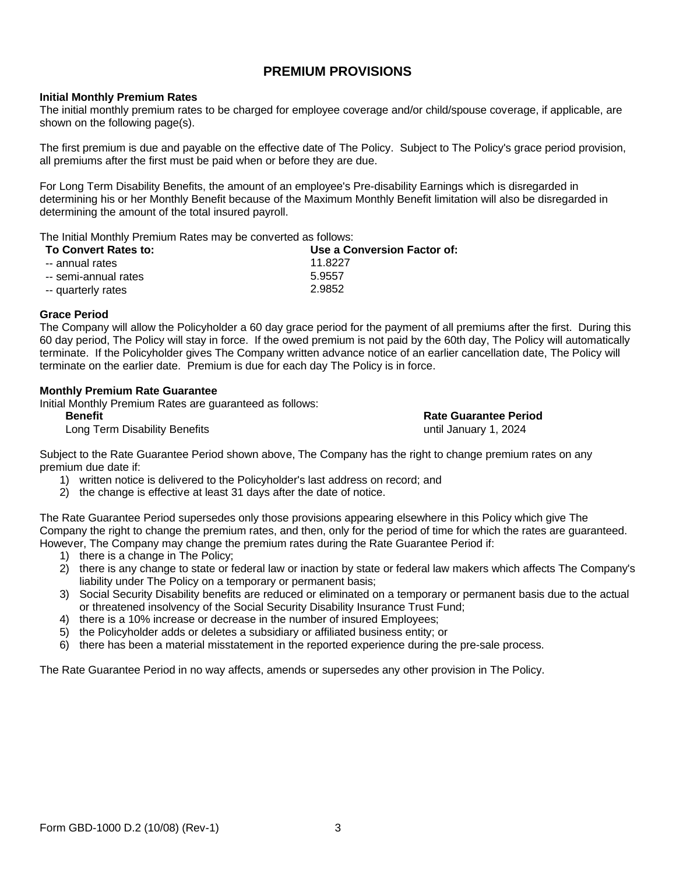# **PREMIUM PROVISIONS**

### **Initial Monthly Premium Rates**

The initial monthly premium rates to be charged for employee coverage and/or child/spouse coverage, if applicable, are shown on the following page(s).

The first premium is due and payable on the effective date of The Policy. Subject to The Policy's grace period provision, all premiums after the first must be paid when or before they are due.

For Long Term Disability Benefits, the amount of an employee's Pre-disability Earnings which is disregarded in determining his or her Monthly Benefit because of the Maximum Monthly Benefit limitation will also be disregarded in determining the amount of the total insured payroll.

The Initial Monthly Premium Rates may be converted as follows:

| <b>To Convert Rates to:</b> | Use a Conversion Factor of: |
|-----------------------------|-----------------------------|
| -- annual rates             | 11.8227                     |
| -- semi-annual rates        | 5.9557                      |
| -- quarterly rates          | 2.9852                      |

### **Grace Period**

The Company will allow the Policyholder a 60 day grace period for the payment of all premiums after the first. During this 60 day period, The Policy will stay in force. If the owed premium is not paid by the 60th day, The Policy will automatically terminate. If the Policyholder gives The Company written advance notice of an earlier cancellation date, The Policy will terminate on the earlier date. Premium is due for each day The Policy is in force.

### **Monthly Premium Rate Guarantee**

Initial Monthly Premium Rates are guaranteed as follows:

**Benefit Rate Guarantee Period** Long Term Disability Benefits

Subject to the Rate Guarantee Period shown above, The Company has the right to change premium rates on any premium due date if:

- 1) written notice is delivered to the Policyholder's last address on record; and
- 2) the change is effective at least 31 days after the date of notice.

The Rate Guarantee Period supersedes only those provisions appearing elsewhere in this Policy which give The Company the right to change the premium rates, and then, only for the period of time for which the rates are guaranteed. However, The Company may change the premium rates during the Rate Guarantee Period if:

- 1) there is a change in The Policy;
- 2) there is any change to state or federal law or inaction by state or federal law makers which affects The Company's liability under The Policy on a temporary or permanent basis;
- 3) Social Security Disability benefits are reduced or eliminated on a temporary or permanent basis due to the actual or threatened insolvency of the Social Security Disability Insurance Trust Fund;
- 4) there is a 10% increase or decrease in the number of insured Employees;
- 5) the Policyholder adds or deletes a subsidiary or affiliated business entity; or
- 6) there has been a material misstatement in the reported experience during the pre-sale process.

The Rate Guarantee Period in no way affects, amends or supersedes any other provision in The Policy.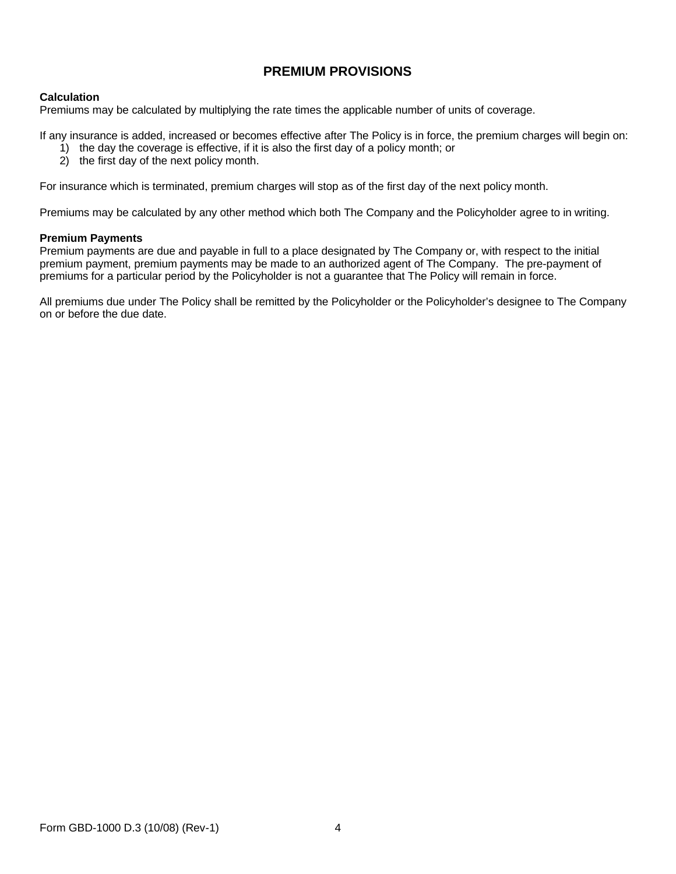# **PREMIUM PROVISIONS**

## **Calculation**

Premiums may be calculated by multiplying the rate times the applicable number of units of coverage.

If any insurance is added, increased or becomes effective after The Policy is in force, the premium charges will begin on:

- 1) the day the coverage is effective, if it is also the first day of a policy month; or
- 2) the first day of the next policy month.

For insurance which is terminated, premium charges will stop as of the first day of the next policy month.

Premiums may be calculated by any other method which both The Company and the Policyholder agree to in writing.

### **Premium Payments**

Premium payments are due and payable in full to a place designated by The Company or, with respect to the initial premium payment, premium payments may be made to an authorized agent of The Company. The pre-payment of premiums for a particular period by the Policyholder is not a guarantee that The Policy will remain in force.

All premiums due under The Policy shall be remitted by the Policyholder or the Policyholder's designee to The Company on or before the due date.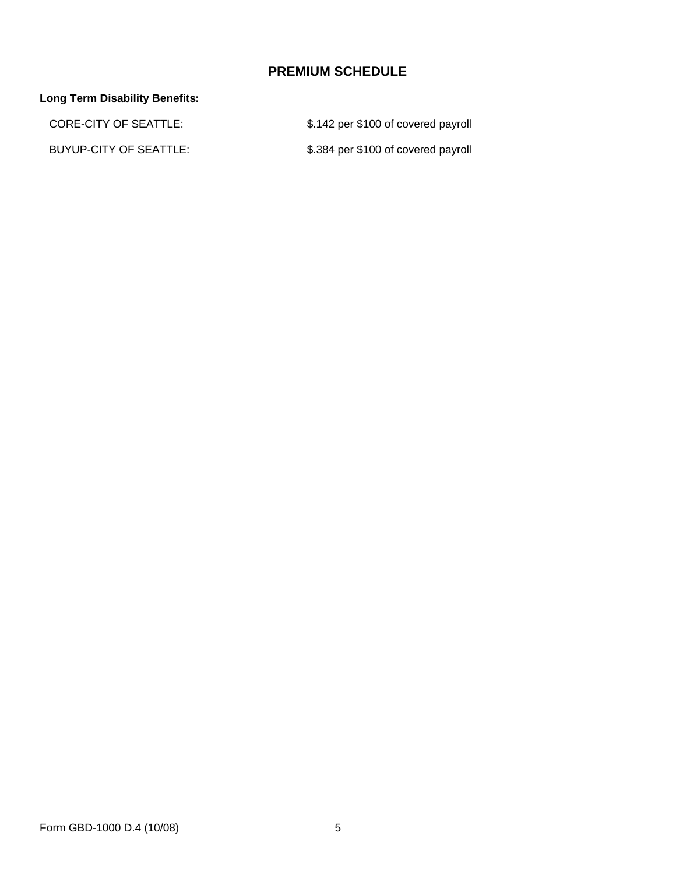# **PREMIUM SCHEDULE**

# **Long Term Disability Benefits:**

| CORE-CITY OF SEATTLE:  | \$.142 per \$100 of covered payroll |
|------------------------|-------------------------------------|
| BUYUP-CITY OF SEATTLE: | \$.384 per \$100 of covered payroll |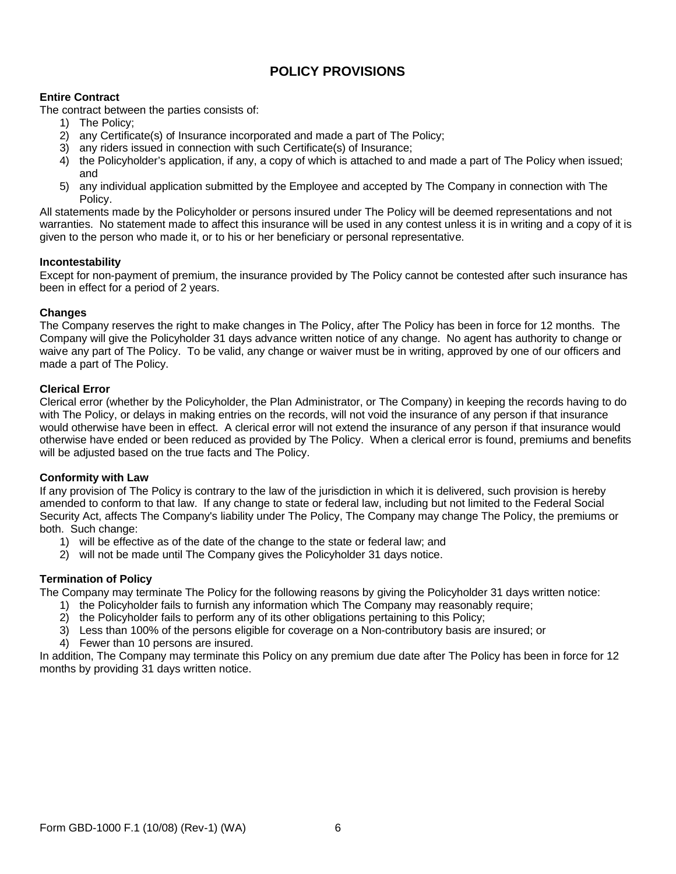# **POLICY PROVISIONS**

## **Entire Contract**

The contract between the parties consists of:

- 1) The Policy;
- 2) any Certificate(s) of Insurance incorporated and made a part of The Policy;
- 3) any riders issued in connection with such Certificate(s) of Insurance;
- 4) the Policyholder's application, if any, a copy of which is attached to and made a part of The Policy when issued; and
- 5) any individual application submitted by the Employee and accepted by The Company in connection with The Policy.

All statements made by the Policyholder or persons insured under The Policy will be deemed representations and not warranties. No statement made to affect this insurance will be used in any contest unless it is in writing and a copy of it is given to the person who made it, or to his or her beneficiary or personal representative.

## **Incontestability**

Except for non-payment of premium, the insurance provided by The Policy cannot be contested after such insurance has been in effect for a period of 2 years.

## **Changes**

The Company reserves the right to make changes in The Policy, after The Policy has been in force for 12 months. The Company will give the Policyholder 31 days advance written notice of any change. No agent has authority to change or waive any part of The Policy. To be valid, any change or waiver must be in writing, approved by one of our officers and made a part of The Policy.

## **Clerical Error**

Clerical error (whether by the Policyholder, the Plan Administrator, or The Company) in keeping the records having to do with The Policy, or delays in making entries on the records, will not void the insurance of any person if that insurance would otherwise have been in effect. A clerical error will not extend the insurance of any person if that insurance would otherwise have ended or been reduced as provided by The Policy. When a clerical error is found, premiums and benefits will be adjusted based on the true facts and The Policy.

## **Conformity with Law**

If any provision of The Policy is contrary to the law of the jurisdiction in which it is delivered, such provision is hereby amended to conform to that law. If any change to state or federal law, including but not limited to the Federal Social Security Act, affects The Company's liability under The Policy, The Company may change The Policy, the premiums or both. Such change:

- 1) will be effective as of the date of the change to the state or federal law; and
- 2) will not be made until The Company gives the Policyholder 31 days notice.

## **Termination of Policy**

The Company may terminate The Policy for the following reasons by giving the Policyholder 31 days written notice:

- 1) the Policyholder fails to furnish any information which The Company may reasonably require;
- 2) the Policyholder fails to perform any of its other obligations pertaining to this Policy;
- 3) Less than 100% of the persons eligible for coverage on a Non-contributory basis are insured; or
- 4) Fewer than 10 persons are insured.

In addition, The Company may terminate this Policy on any premium due date after The Policy has been in force for 12 months by providing 31 days written notice.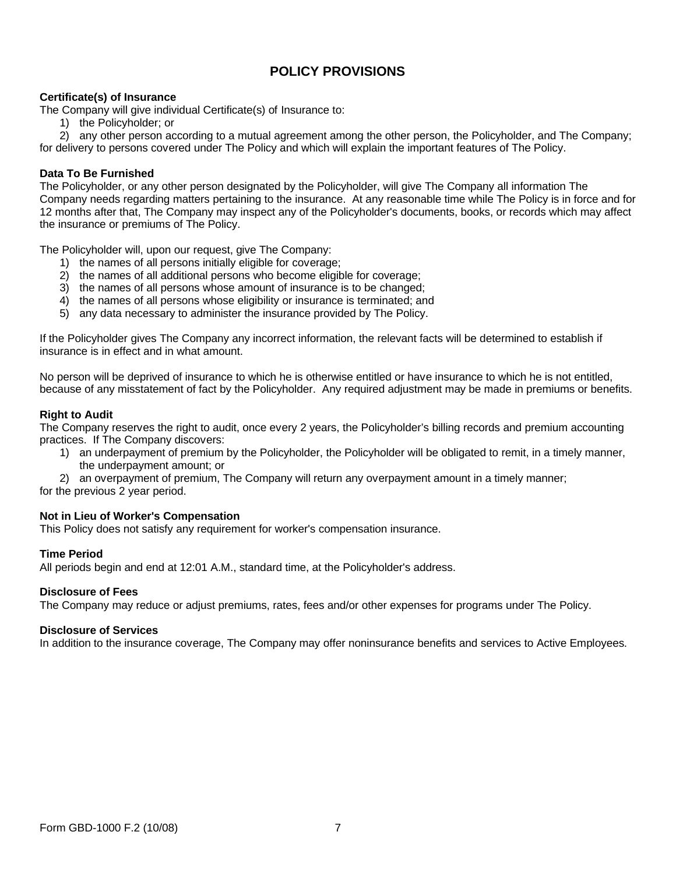# **POLICY PROVISIONS**

## **Certificate(s) of Insurance**

The Company will give individual Certificate(s) of Insurance to:

1) the Policyholder; or

2) any other person according to a mutual agreement among the other person, the Policyholder, and The Company; for delivery to persons covered under The Policy and which will explain the important features of The Policy.

### **Data To Be Furnished**

The Policyholder, or any other person designated by the Policyholder, will give The Company all information The Company needs regarding matters pertaining to the insurance. At any reasonable time while The Policy is in force and for 12 months after that, The Company may inspect any of the Policyholder's documents, books, or records which may affect the insurance or premiums of The Policy.

The Policyholder will, upon our request, give The Company:

- 1) the names of all persons initially eligible for coverage;
- 2) the names of all additional persons who become eligible for coverage;
- 3) the names of all persons whose amount of insurance is to be changed;
- 4) the names of all persons whose eligibility or insurance is terminated; and
- 5) any data necessary to administer the insurance provided by The Policy.

If the Policyholder gives The Company any incorrect information, the relevant facts will be determined to establish if insurance is in effect and in what amount.

No person will be deprived of insurance to which he is otherwise entitled or have insurance to which he is not entitled, because of any misstatement of fact by the Policyholder. Any required adjustment may be made in premiums or benefits.

### **Right to Audit**

The Company reserves the right to audit, once every 2 years, the Policyholder's billing records and premium accounting practices. If The Company discovers:

- 1) an underpayment of premium by the Policyholder, the Policyholder will be obligated to remit, in a timely manner, the underpayment amount; or
- 2) an overpayment of premium, The Company will return any overpayment amount in a timely manner;

for the previous 2 year period.

### **Not in Lieu of Worker's Compensation**

This Policy does not satisfy any requirement for worker's compensation insurance.

### **Time Period**

All periods begin and end at 12:01 A.M., standard time, at the Policyholder's address.

### **Disclosure of Fees**

The Company may reduce or adjust premiums, rates, fees and/or other expenses for programs under The Policy.

### **Disclosure of Services**

In addition to the insurance coverage, The Company may offer noninsurance benefits and services to Active Employees.